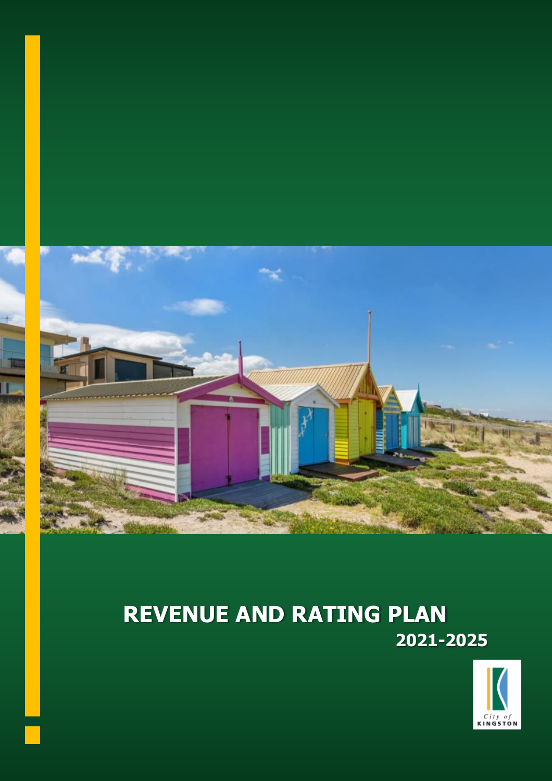

# **REVENUE AND RATING PLAN 2021-2025**

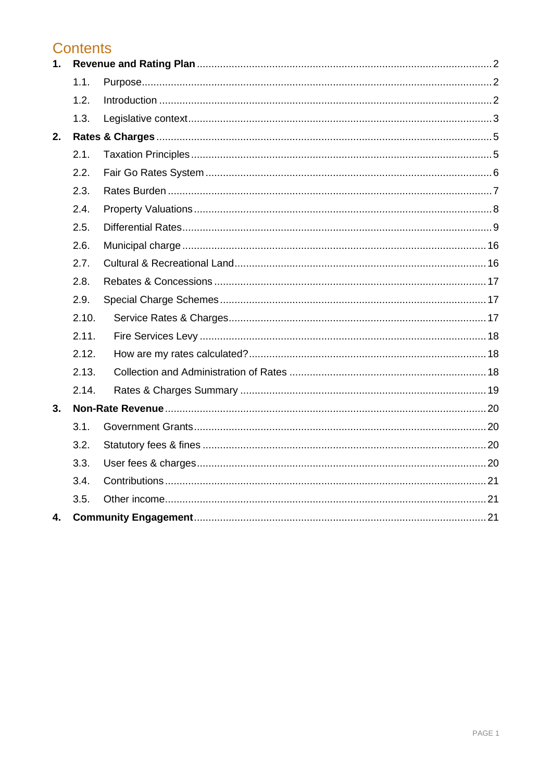# **Contents**

| 1. |       |  |  |
|----|-------|--|--|
|    | 1.1.  |  |  |
|    | 1.2.  |  |  |
|    | 1.3.  |  |  |
| 2. |       |  |  |
|    | 2.1.  |  |  |
|    | 2.2.  |  |  |
|    | 2.3.  |  |  |
|    | 2.4.  |  |  |
|    | 2.5.  |  |  |
|    | 2.6.  |  |  |
|    | 2.7.  |  |  |
|    | 2.8.  |  |  |
|    | 2.9.  |  |  |
|    | 2.10. |  |  |
|    | 2.11. |  |  |
|    | 2.12. |  |  |
|    | 2.13. |  |  |
|    | 2.14. |  |  |
| 3. |       |  |  |
|    | 3.1.  |  |  |
|    | 3.2.  |  |  |
|    | 3.3.  |  |  |
|    | 3.4.  |  |  |
|    | 3.5.  |  |  |
| 4. |       |  |  |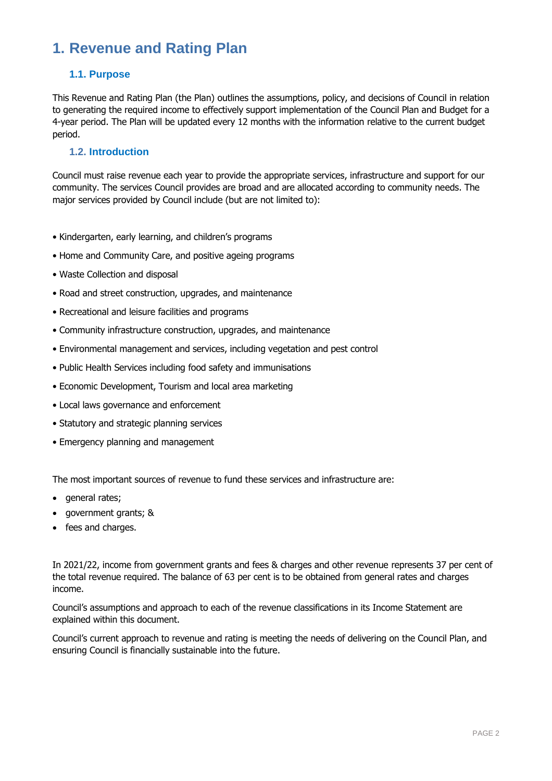# <span id="page-2-0"></span>**1. Revenue and Rating Plan**

# <span id="page-2-1"></span>**1.1. Purpose**

This Revenue and Rating Plan (the Plan) outlines the assumptions, policy, and decisions of Council in relation to generating the required income to effectively support implementation of the Council Plan and Budget for a 4-year period. The Plan will be updated every 12 months with the information relative to the current budget period.

# <span id="page-2-2"></span>**1.2. Introduction**

Council must raise revenue each year to provide the appropriate services, infrastructure and support for our community. The services Council provides are broad and are allocated according to community needs. The major services provided by Council include (but are not limited to):

- Kindergarten, early learning, and children's programs
- Home and Community Care, and positive ageing programs
- Waste Collection and disposal
- Road and street construction, upgrades, and maintenance
- Recreational and leisure facilities and programs
- Community infrastructure construction, upgrades, and maintenance
- Environmental management and services, including vegetation and pest control
- Public Health Services including food safety and immunisations
- Economic Development, Tourism and local area marketing
- Local laws governance and enforcement
- Statutory and strategic planning services
- Emergency planning and management

The most important sources of revenue to fund these services and infrastructure are:

- general rates;
- government grants; &
- fees and charges.

In 2021/22, income from government grants and fees & charges and other revenue represents 37 per cent of the total revenue required. The balance of 63 per cent is to be obtained from general rates and charges income.

Council's assumptions and approach to each of the revenue classifications in its Income Statement are explained within this document.

Council's current approach to revenue and rating is meeting the needs of delivering on the Council Plan, and ensuring Council is financially sustainable into the future.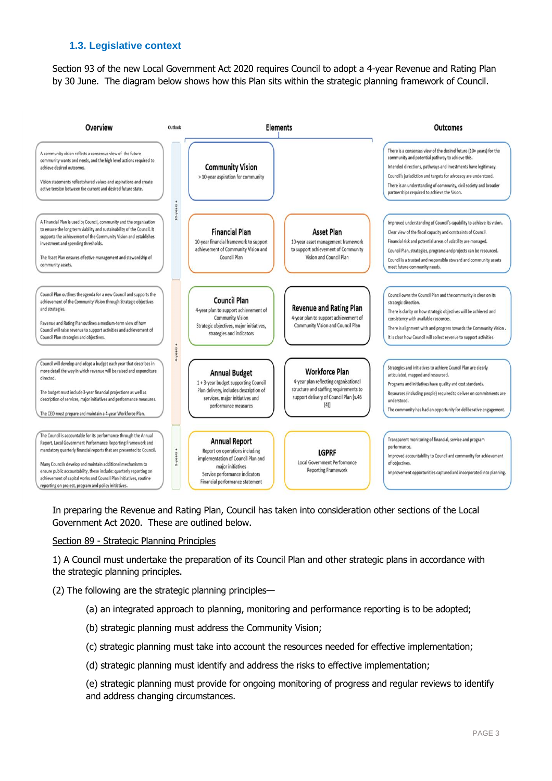# <span id="page-3-0"></span>**1.3. Legislative context**

Section 93 of the new Local Government Act 2020 requires Council to adopt a 4-year Revenue and Rating Plan by 30 June. The diagram below shows how this Plan sits within the strategic planning framework of Council.



In preparing the Revenue and Rating Plan, Council has taken into consideration other sections of the Local Government Act 2020. These are outlined below.

#### Section 89 - Strategic Planning Principles

1) A Council must undertake the preparation of its Council Plan and other strategic plans in accordance with the strategic planning principles.

(2) The following are the strategic planning principles—

- (a) an integrated approach to planning, monitoring and performance reporting is to be adopted;
- (b) strategic planning must address the Community Vision;
- (c) strategic planning must take into account the resources needed for effective implementation;
- (d) strategic planning must identify and address the risks to effective implementation;

(e) strategic planning must provide for ongoing monitoring of progress and regular reviews to identify and address changing circumstances.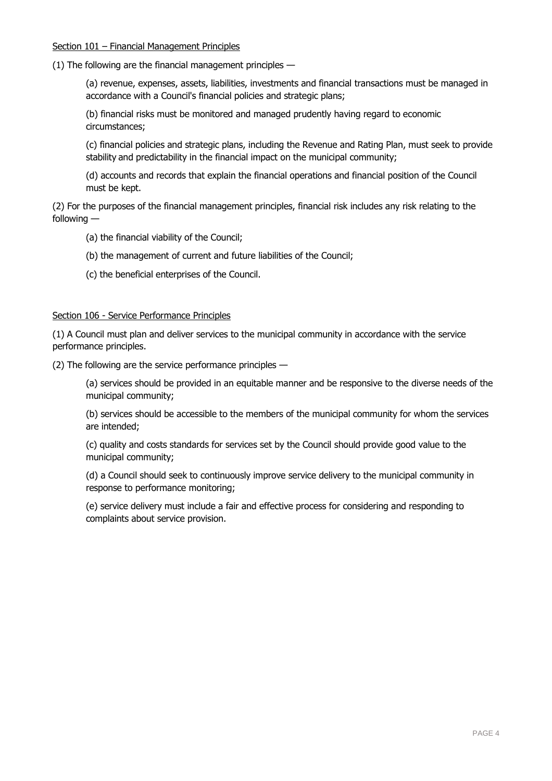#### Section 101 – Financial Management Principles

(1) The following are the financial management principles —

(a) revenue, expenses, assets, liabilities, investments and financial transactions must be managed in accordance with a Council's financial policies and strategic plans;

(b) financial risks must be monitored and managed prudently having regard to economic circumstances;

(c) financial policies and strategic plans, including the Revenue and Rating Plan, must seek to provide stability and predictability in the financial impact on the municipal community;

(d) accounts and records that explain the financial operations and financial position of the Council must be kept.

(2) For the purposes of the financial management principles, financial risk includes any risk relating to the following —

(a) the financial viability of the Council;

(b) the management of current and future liabilities of the Council;

(c) the beneficial enterprises of the Council.

#### Section 106 - Service Performance Principles

(1) A Council must plan and deliver services to the municipal community in accordance with the service performance principles.

(2) The following are the service performance principles —

(a) services should be provided in an equitable manner and be responsive to the diverse needs of the municipal community;

(b) services should be accessible to the members of the municipal community for whom the services are intended;

(c) quality and costs standards for services set by the Council should provide good value to the municipal community;

(d) a Council should seek to continuously improve service delivery to the municipal community in response to performance monitoring;

(e) service delivery must include a fair and effective process for considering and responding to complaints about service provision.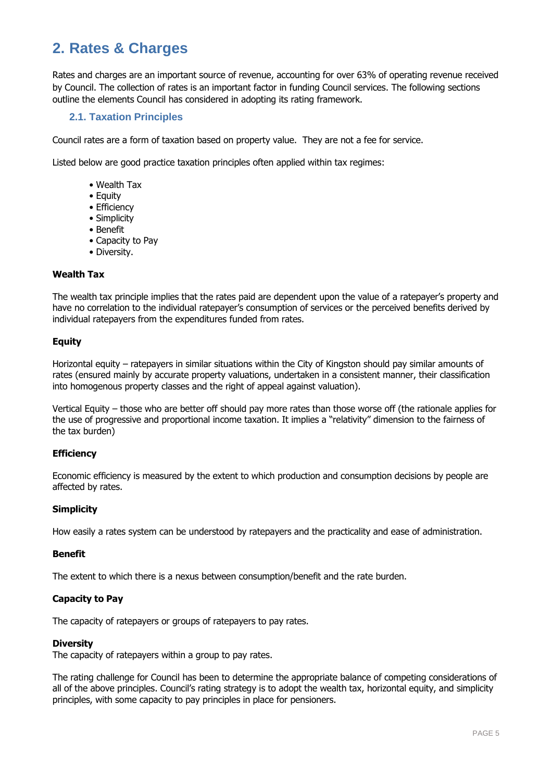# <span id="page-5-0"></span>**2. Rates & Charges**

Rates and charges are an important source of revenue, accounting for over 63% of operating revenue received by Council. The collection of rates is an important factor in funding Council services. The following sections outline the elements Council has considered in adopting its rating framework.

# <span id="page-5-1"></span>**2.1. Taxation Principles**

Council rates are a form of taxation based on property value. They are not a fee for service.

Listed below are good practice taxation principles often applied within tax regimes:

- Wealth Tax
- Equity
- Efficiency
- Simplicity
- Benefit
- Capacity to Pay
- Diversity.

#### **Wealth Tax**

The wealth tax principle implies that the rates paid are dependent upon the value of a ratepayer's property and have no correlation to the individual ratepayer's consumption of services or the perceived benefits derived by individual ratepayers from the expenditures funded from rates.

#### **Equity**

Horizontal equity – ratepayers in similar situations within the City of Kingston should pay similar amounts of rates (ensured mainly by accurate property valuations, undertaken in a consistent manner, their classification into homogenous property classes and the right of appeal against valuation).

Vertical Equity – those who are better off should pay more rates than those worse off (the rationale applies for the use of progressive and proportional income taxation. It implies a "relativity" dimension to the fairness of the tax burden)

#### **Efficiency**

Economic efficiency is measured by the extent to which production and consumption decisions by people are affected by rates.

#### **Simplicity**

How easily a rates system can be understood by ratepayers and the practicality and ease of administration.

#### **Benefit**

The extent to which there is a nexus between consumption/benefit and the rate burden.

#### **Capacity to Pay**

The capacity of ratepayers or groups of ratepayers to pay rates.

#### **Diversity**

The capacity of ratepayers within a group to pay rates.

The rating challenge for Council has been to determine the appropriate balance of competing considerations of all of the above principles. Council's rating strategy is to adopt the wealth tax, horizontal equity, and simplicity principles, with some capacity to pay principles in place for pensioners.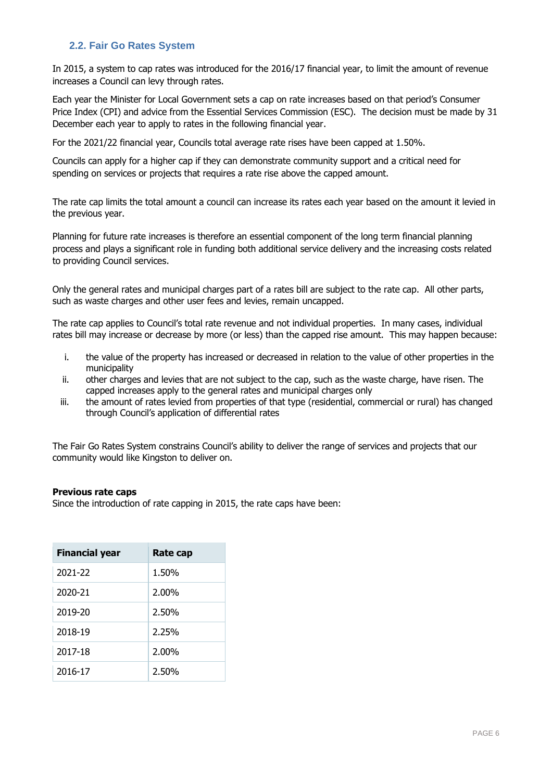# <span id="page-6-0"></span>**2.2. Fair Go Rates System**

In 2015, a system to cap rates was introduced for the 2016/17 financial year, to limit the amount of revenue increases a Council can levy through rates.

Each year the Minister for Local Government sets a cap on rate increases based on that period's Consumer Price Index (CPI) and advice from the Essential Services Commission (ESC). The decision must be made by 31 December each year to apply to rates in the following financial year.

For the 2021/22 financial year, Councils total average rate rises have been capped at 1.50%.

Councils can apply for a higher cap if they can demonstrate community support and a critical need for spending on services or projects that requires a rate rise above the capped amount.

The rate cap limits the total amount a council can increase its rates each year based on the amount it levied in the previous year.

Planning for future rate increases is therefore an essential component of the long term financial planning process and plays a significant role in funding both additional service delivery and the increasing costs related to providing Council services.

Only the general rates and municipal charges part of a rates bill are subject to the rate cap. All other parts, such as waste charges and other user fees and levies, remain uncapped.

The rate cap applies to Council's total rate revenue and not individual properties. In many cases, individual rates bill may increase or decrease by more (or less) than the capped rise amount. This may happen because:

- i. the value of the property has increased or decreased in relation to the value of other properties in the municipality
- ii. other charges and levies that are not subject to the cap, such as the waste charge, have risen. The capped increases apply to the general rates and municipal charges only
- iii. the amount of rates levied from properties of that type (residential, commercial or rural) has changed through Council's application of differential rates

The Fair Go Rates System constrains Council's ability to deliver the range of services and projects that our community would like Kingston to deliver on.

#### **Previous rate caps**

Since the introduction of rate capping in 2015, the rate caps have been:

| <b>Financial year</b> | Rate cap |
|-----------------------|----------|
| 2021-22               | 1.50%    |
| 2020-21               | $2.00\%$ |
| 2019-20               | 2.50%    |
| 2018-19               | 2.25%    |
| 2017-18               | $2.00\%$ |
| 2016-17               | 2.50%    |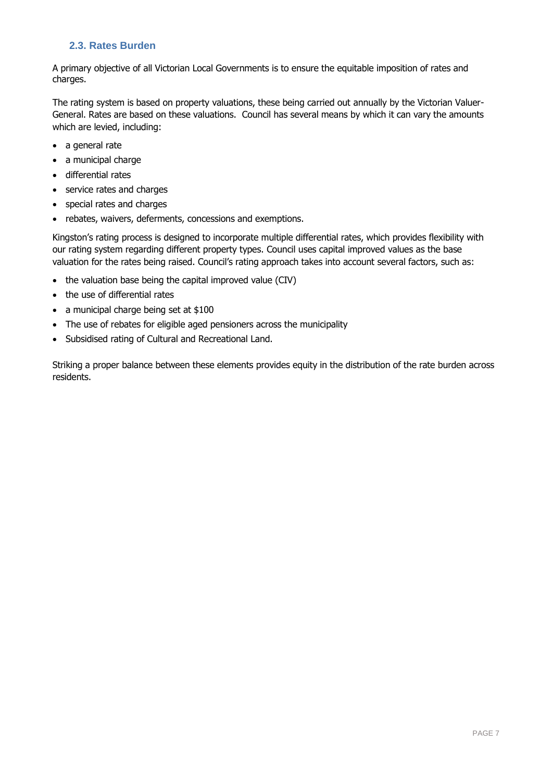# <span id="page-7-0"></span>**2.3. Rates Burden**

A primary objective of all Victorian Local Governments is to ensure the equitable imposition of rates and charges.

The rating system is based on property valuations, these being carried out annually by the Victorian Valuer-General. Rates are based on these valuations. Council has several means by which it can vary the amounts which are levied, including:

- a general rate
- a municipal charge
- differential rates
- service rates and charges
- special rates and charges
- rebates, waivers, deferments, concessions and exemptions.

Kingston's rating process is designed to incorporate multiple differential rates, which provides flexibility with our rating system regarding different property types. Council uses capital improved values as the base valuation for the rates being raised. Council's rating approach takes into account several factors, such as:

- the valuation base being the capital improved value (CIV)
- the use of differential rates
- a municipal charge being set at \$100
- The use of rebates for eligible aged pensioners across the municipality
- Subsidised rating of Cultural and Recreational Land.

Striking a proper balance between these elements provides equity in the distribution of the rate burden across residents.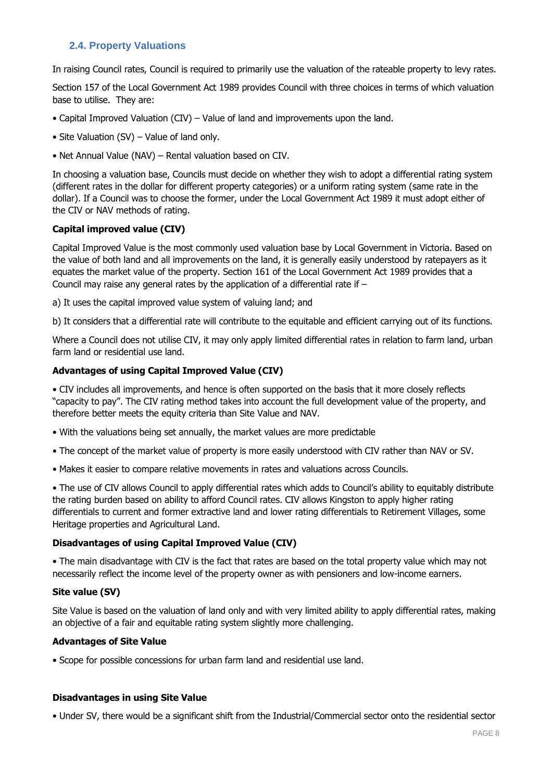# <span id="page-8-0"></span>**2.4. Property Valuations**

In raising Council rates, Council is required to primarily use the valuation of the rateable property to levy rates.

Section 157 of the Local Government Act 1989 provides Council with three choices in terms of which valuation base to utilise. They are:

- Capital Improved Valuation (CIV) Value of land and improvements upon the land.
- Site Valuation (SV) Value of land only.
- Net Annual Value (NAV) Rental valuation based on CIV.

In choosing a valuation base, Councils must decide on whether they wish to adopt a differential rating system (different rates in the dollar for different property categories) or a uniform rating system (same rate in the dollar). If a Council was to choose the former, under the Local Government Act 1989 it must adopt either of the CIV or NAV methods of rating.

#### **Capital improved value (CIV)**

Capital Improved Value is the most commonly used valuation base by Local Government in Victoria. Based on the value of both land and all improvements on the land, it is generally easily understood by ratepayers as it equates the market value of the property. Section 161 of the Local Government Act 1989 provides that a Council may raise any general rates by the application of a differential rate if –

a) It uses the capital improved value system of valuing land; and

b) It considers that a differential rate will contribute to the equitable and efficient carrying out of its functions.

Where a Council does not utilise CIV, it may only apply limited differential rates in relation to farm land, urban farm land or residential use land.

#### **Advantages of using Capital Improved Value (CIV)**

• CIV includes all improvements, and hence is often supported on the basis that it more closely reflects "capacity to pay". The CIV rating method takes into account the full development value of the property, and therefore better meets the equity criteria than Site Value and NAV.

- With the valuations being set annually, the market values are more predictable
- The concept of the market value of property is more easily understood with CIV rather than NAV or SV.
- Makes it easier to compare relative movements in rates and valuations across Councils.

• The use of CIV allows Council to apply differential rates which adds to Council's ability to equitably distribute the rating burden based on ability to afford Council rates. CIV allows Kingston to apply higher rating differentials to current and former extractive land and lower rating differentials to Retirement Villages, some Heritage properties and Agricultural Land.

#### **Disadvantages of using Capital Improved Value (CIV)**

• The main disadvantage with CIV is the fact that rates are based on the total property value which may not necessarily reflect the income level of the property owner as with pensioners and low-income earners.

#### **Site value (SV)**

Site Value is based on the valuation of land only and with very limited ability to apply differential rates, making an objective of a fair and equitable rating system slightly more challenging.

#### **Advantages of Site Value**

• Scope for possible concessions for urban farm land and residential use land.

#### **Disadvantages in using Site Value**

• Under SV, there would be a significant shift from the Industrial/Commercial sector onto the residential sector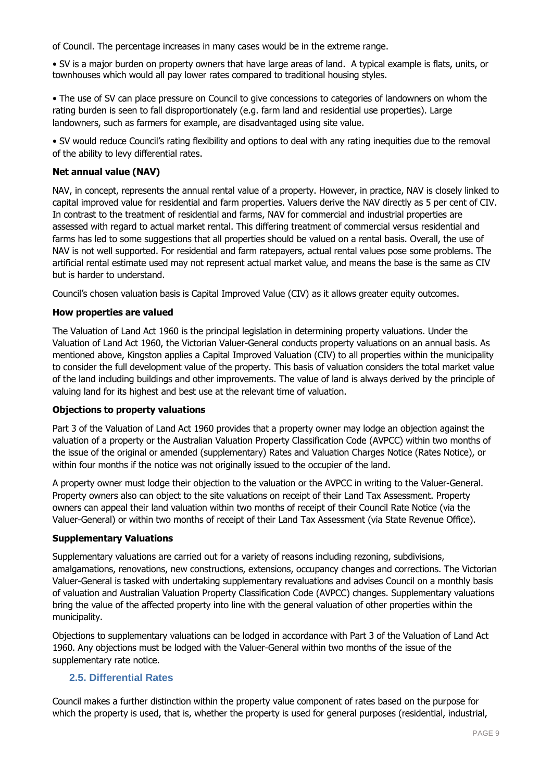of Council. The percentage increases in many cases would be in the extreme range.

• SV is a major burden on property owners that have large areas of land. A typical example is flats, units, or townhouses which would all pay lower rates compared to traditional housing styles.

• The use of SV can place pressure on Council to give concessions to categories of landowners on whom the rating burden is seen to fall disproportionately (e.g. farm land and residential use properties). Large landowners, such as farmers for example, are disadvantaged using site value.

• SV would reduce Council's rating flexibility and options to deal with any rating inequities due to the removal of the ability to levy differential rates.

### **Net annual value (NAV)**

NAV, in concept, represents the annual rental value of a property. However, in practice, NAV is closely linked to capital improved value for residential and farm properties. Valuers derive the NAV directly as 5 per cent of CIV. In contrast to the treatment of residential and farms, NAV for commercial and industrial properties are assessed with regard to actual market rental. This differing treatment of commercial versus residential and farms has led to some suggestions that all properties should be valued on a rental basis. Overall, the use of NAV is not well supported. For residential and farm ratepayers, actual rental values pose some problems. The artificial rental estimate used may not represent actual market value, and means the base is the same as CIV but is harder to understand.

Council's chosen valuation basis is Capital Improved Value (CIV) as it allows greater equity outcomes.

# **How properties are valued**

The Valuation of Land Act 1960 is the principal legislation in determining property valuations. Under the Valuation of Land Act 1960, the Victorian Valuer-General conducts property valuations on an annual basis. As mentioned above, Kingston applies a Capital Improved Valuation (CIV) to all properties within the municipality to consider the full development value of the property. This basis of valuation considers the total market value of the land including buildings and other improvements. The value of land is always derived by the principle of valuing land for its highest and best use at the relevant time of valuation.

#### **Objections to property valuations**

Part 3 of the Valuation of Land Act 1960 provides that a property owner may lodge an objection against the valuation of a property or the Australian Valuation Property Classification Code (AVPCC) within two months of the issue of the original or amended (supplementary) Rates and Valuation Charges Notice (Rates Notice), or within four months if the notice was not originally issued to the occupier of the land.

A property owner must lodge their objection to the valuation or the AVPCC in writing to the Valuer-General. Property owners also can object to the site valuations on receipt of their Land Tax Assessment. Property owners can appeal their land valuation within two months of receipt of their Council Rate Notice (via the Valuer-General) or within two months of receipt of their Land Tax Assessment (via State Revenue Office).

#### **Supplementary Valuations**

Supplementary valuations are carried out for a variety of reasons including rezoning, subdivisions, amalgamations, renovations, new constructions, extensions, occupancy changes and corrections. The Victorian Valuer-General is tasked with undertaking supplementary revaluations and advises Council on a monthly basis of valuation and Australian Valuation Property Classification Code (AVPCC) changes. Supplementary valuations bring the value of the affected property into line with the general valuation of other properties within the municipality.

Objections to supplementary valuations can be lodged in accordance with Part 3 of the Valuation of Land Act 1960. Any objections must be lodged with the Valuer-General within two months of the issue of the supplementary rate notice.

# <span id="page-9-0"></span>**2.5. Differential Rates**

Council makes a further distinction within the property value component of rates based on the purpose for which the property is used, that is, whether the property is used for general purposes (residential, industrial,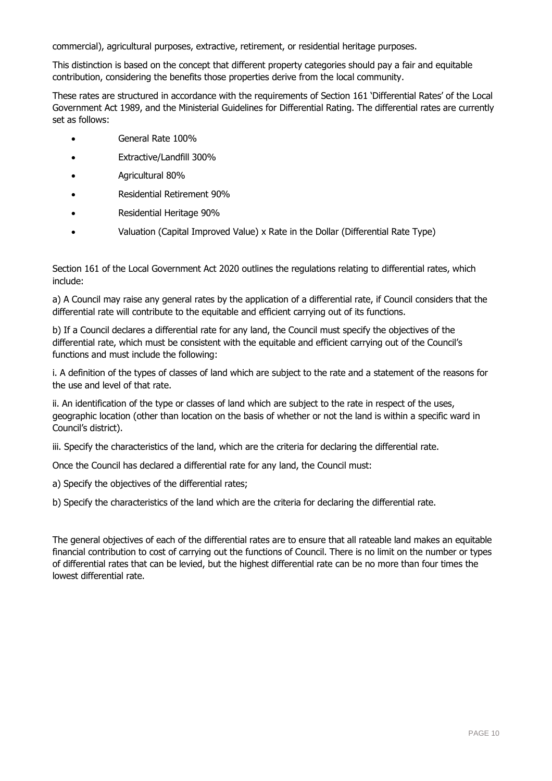commercial), agricultural purposes, extractive, retirement, or residential heritage purposes.

This distinction is based on the concept that different property categories should pay a fair and equitable contribution, considering the benefits those properties derive from the local community.

These rates are structured in accordance with the requirements of Section 161 'Differential Rates' of the Local Government Act 1989, and the Ministerial Guidelines for Differential Rating. The differential rates are currently set as follows:

- General Rate 100%
- Extractive/Landfill 300%
- Agricultural 80%
- Residential Retirement 90%
- Residential Heritage 90%
- Valuation (Capital Improved Value) x Rate in the Dollar (Differential Rate Type)

Section 161 of the Local Government Act 2020 outlines the regulations relating to differential rates, which include:

a) A Council may raise any general rates by the application of a differential rate, if Council considers that the differential rate will contribute to the equitable and efficient carrying out of its functions.

b) If a Council declares a differential rate for any land, the Council must specify the objectives of the differential rate, which must be consistent with the equitable and efficient carrying out of the Council's functions and must include the following:

i. A definition of the types of classes of land which are subject to the rate and a statement of the reasons for the use and level of that rate.

ii. An identification of the type or classes of land which are subject to the rate in respect of the uses, geographic location (other than location on the basis of whether or not the land is within a specific ward in Council's district).

iii. Specify the characteristics of the land, which are the criteria for declaring the differential rate.

Once the Council has declared a differential rate for any land, the Council must:

a) Specify the objectives of the differential rates;

b) Specify the characteristics of the land which are the criteria for declaring the differential rate.

The general objectives of each of the differential rates are to ensure that all rateable land makes an equitable financial contribution to cost of carrying out the functions of Council. There is no limit on the number or types of differential rates that can be levied, but the highest differential rate can be no more than four times the lowest differential rate.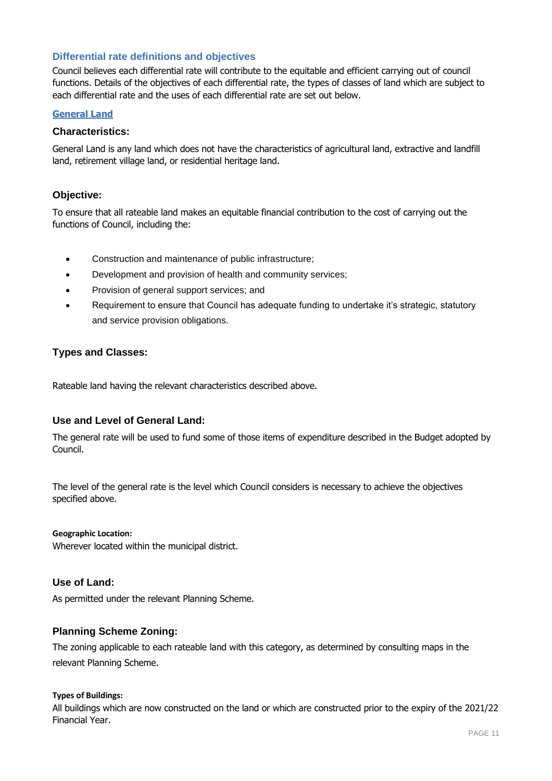# **Differential rate definitions and objectives**

Council believes each differential rate will contribute to the equitable and efficient carrying out of council functions. Details of the objectives of each differential rate, the types of classes of land which are subject to each differential rate and the uses of each differential rate are set out below.

#### **General Land**

#### **Characteristics:**

General Land is any land which does not have the characteristics of agricultural land, extractive and landfill land, retirement village land, or residential heritage land.

#### **Objective:**

To ensure that all rateable land makes an equitable financial contribution to the cost of carrying out the functions of Council, including the:

- Construction and maintenance of public infrastructure;
- Development and provision of health and community services;
- Provision of general support services; and
- Requirement to ensure that Council has adequate funding to undertake it's strategic, statutory and service provision obligations.

#### **Types and Classes:**

Rateable land having the relevant characteristics described above.

# **Use and Level of General Land:**

The general rate will be used to fund some of those items of expenditure described in the Budget adopted by Council.

The level of the general rate is the level which Council considers is necessary to achieve the objectives specified above.

#### **Geographic Location:**

Wherever located within the municipal district.

#### **Use of Land:**

As permitted under the relevant Planning Scheme.

#### **Planning Scheme Zoning:**

The zoning applicable to each rateable land with this category, as determined by consulting maps in the relevant Planning Scheme.

#### **Types of Buildings:**

All buildings which are now constructed on the land or which are constructed prior to the expiry of the 2021/22 Financial Year.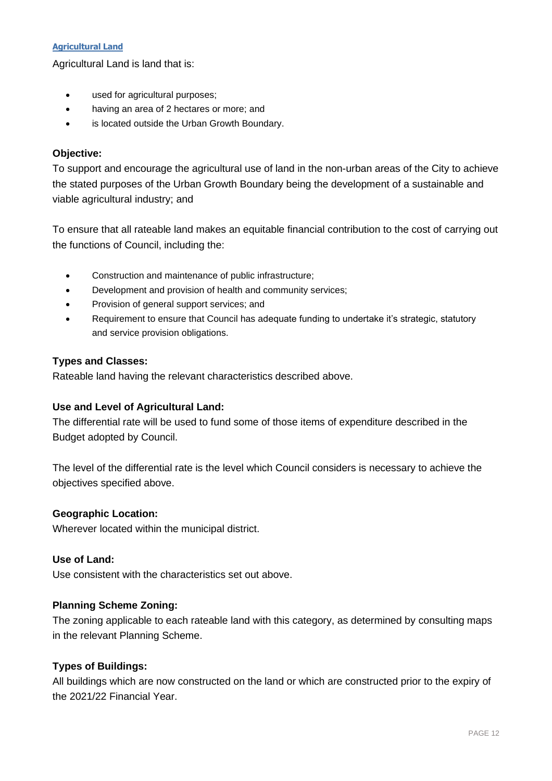# **Agricultural Land**

Agricultural Land is land that is:

- used for agricultural purposes;
- having an area of 2 hectares or more; and
- is located outside the Urban Growth Boundary.

# **Objective:**

To support and encourage the agricultural use of land in the non-urban areas of the City to achieve the stated purposes of the Urban Growth Boundary being the development of a sustainable and viable agricultural industry; and

To ensure that all rateable land makes an equitable financial contribution to the cost of carrying out the functions of Council, including the:

- Construction and maintenance of public infrastructure;
- Development and provision of health and community services;
- Provision of general support services; and
- Requirement to ensure that Council has adequate funding to undertake it's strategic, statutory and service provision obligations.

# **Types and Classes:**

Rateable land having the relevant characteristics described above.

# **Use and Level of Agricultural Land:**

The differential rate will be used to fund some of those items of expenditure described in the Budget adopted by Council.

The level of the differential rate is the level which Council considers is necessary to achieve the objectives specified above.

# **Geographic Location:**

Wherever located within the municipal district.

# **Use of Land:**

Use consistent with the characteristics set out above.

# **Planning Scheme Zoning:**

The zoning applicable to each rateable land with this category, as determined by consulting maps in the relevant Planning Scheme.

# **Types of Buildings:**

All buildings which are now constructed on the land or which are constructed prior to the expiry of the 2021/22 Financial Year.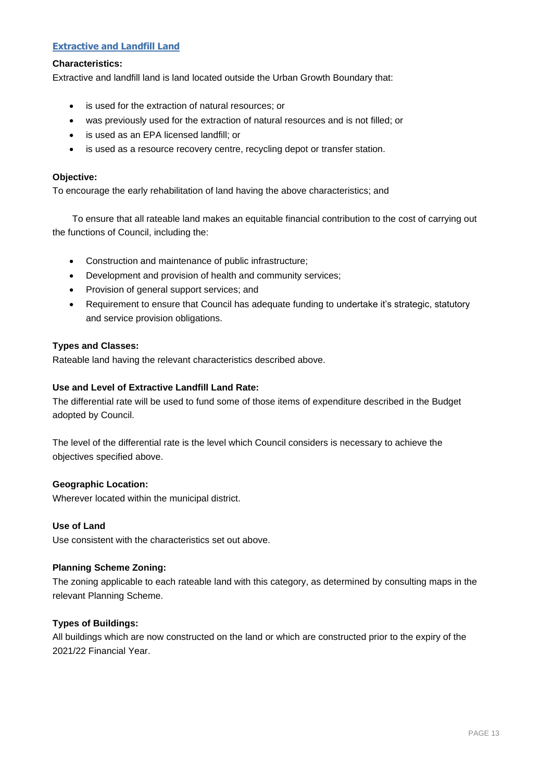# **Extractive and Landfill Land**

#### **Characteristics:**

Extractive and landfill land is land located outside the Urban Growth Boundary that:

- is used for the extraction of natural resources; or
- was previously used for the extraction of natural resources and is not filled; or
- is used as an EPA licensed landfill; or
- is used as a resource recovery centre, recycling depot or transfer station.

#### **Objective:**

To encourage the early rehabilitation of land having the above characteristics; and

To ensure that all rateable land makes an equitable financial contribution to the cost of carrying out the functions of Council, including the:

- Construction and maintenance of public infrastructure;
- Development and provision of health and community services;
- Provision of general support services; and
- Requirement to ensure that Council has adequate funding to undertake it's strategic, statutory and service provision obligations.

#### **Types and Classes:**

Rateable land having the relevant characteristics described above.

#### **Use and Level of Extractive Landfill Land Rate:**

The differential rate will be used to fund some of those items of expenditure described in the Budget adopted by Council.

The level of the differential rate is the level which Council considers is necessary to achieve the objectives specified above.

#### **Geographic Location:**

Wherever located within the municipal district.

#### **Use of Land**

Use consistent with the characteristics set out above.

#### **Planning Scheme Zoning:**

The zoning applicable to each rateable land with this category, as determined by consulting maps in the relevant Planning Scheme.

#### **Types of Buildings:**

All buildings which are now constructed on the land or which are constructed prior to the expiry of the 2021/22 Financial Year.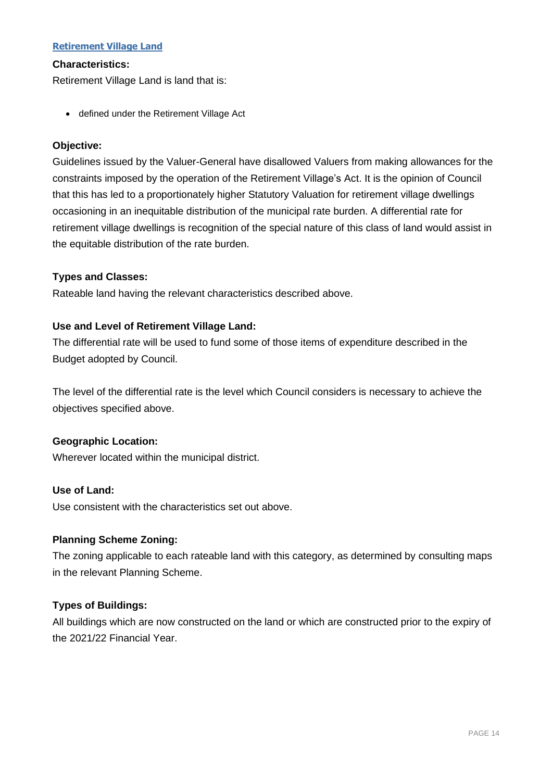# **Retirement Village Land**

#### **Characteristics:**

Retirement Village Land is land that is:

• defined under the Retirement Village Act

# **Objective:**

Guidelines issued by the Valuer-General have disallowed Valuers from making allowances for the constraints imposed by the operation of the Retirement Village's Act. It is the opinion of Council that this has led to a proportionately higher Statutory Valuation for retirement village dwellings occasioning in an inequitable distribution of the municipal rate burden. A differential rate for retirement village dwellings is recognition of the special nature of this class of land would assist in the equitable distribution of the rate burden.

# **Types and Classes:**

Rateable land having the relevant characteristics described above.

# **Use and Level of Retirement Village Land:**

The differential rate will be used to fund some of those items of expenditure described in the Budget adopted by Council.

The level of the differential rate is the level which Council considers is necessary to achieve the objectives specified above.

#### **Geographic Location:**

Wherever located within the municipal district.

#### **Use of Land:**

Use consistent with the characteristics set out above.

# **Planning Scheme Zoning:**

The zoning applicable to each rateable land with this category, as determined by consulting maps in the relevant Planning Scheme.

# **Types of Buildings:**

All buildings which are now constructed on the land or which are constructed prior to the expiry of the 2021/22 Financial Year.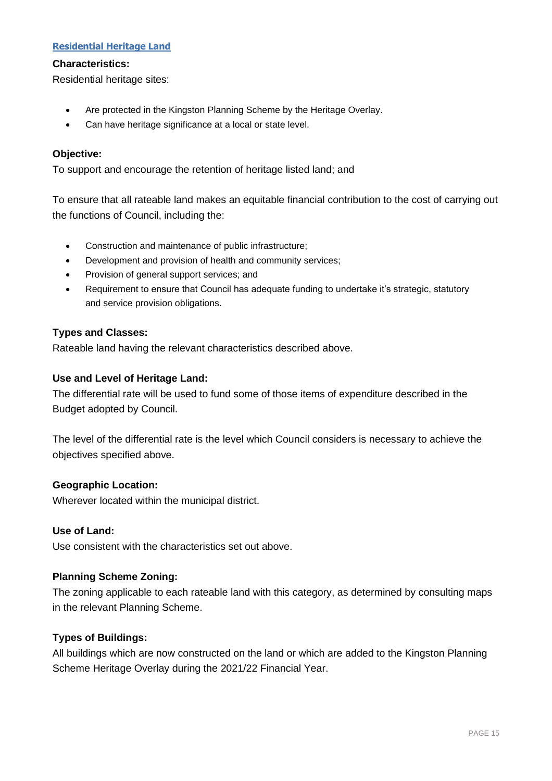# **Residential Heritage Land**

#### **Characteristics:**

Residential heritage sites:

- Are protected in the Kingston Planning Scheme by the Heritage Overlay.
- Can have heritage significance at a local or state level.

### **Objective:**

To support and encourage the retention of heritage listed land; and

To ensure that all rateable land makes an equitable financial contribution to the cost of carrying out the functions of Council, including the:

- Construction and maintenance of public infrastructure;
- Development and provision of health and community services;
- Provision of general support services; and
- Requirement to ensure that Council has adequate funding to undertake it's strategic, statutory and service provision obligations.

# **Types and Classes:**

Rateable land having the relevant characteristics described above.

# **Use and Level of Heritage Land:**

The differential rate will be used to fund some of those items of expenditure described in the Budget adopted by Council.

The level of the differential rate is the level which Council considers is necessary to achieve the objectives specified above.

#### **Geographic Location:**

Wherever located within the municipal district.

#### **Use of Land:**

Use consistent with the characteristics set out above.

#### **Planning Scheme Zoning:**

The zoning applicable to each rateable land with this category, as determined by consulting maps in the relevant Planning Scheme.

# **Types of Buildings:**

All buildings which are now constructed on the land or which are added to the Kingston Planning Scheme Heritage Overlay during the 2021/22 Financial Year.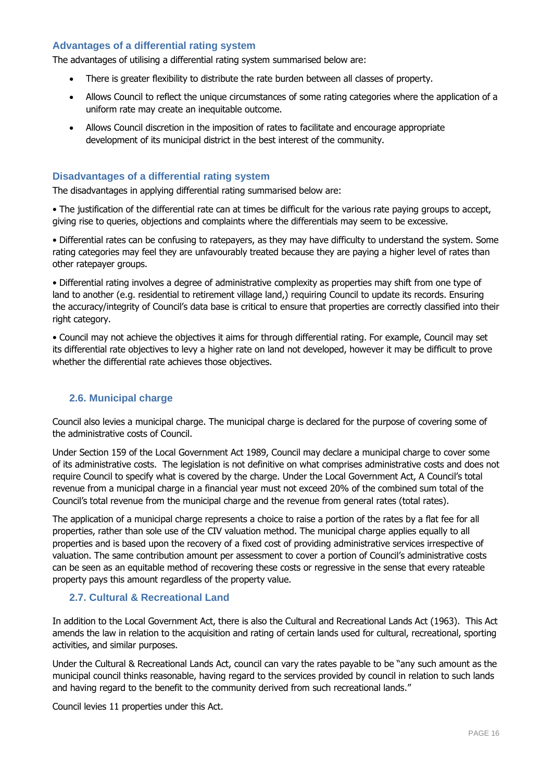### **Advantages of a differential rating system**

The advantages of utilising a differential rating system summarised below are:

- There is greater flexibility to distribute the rate burden between all classes of property.
- Allows Council to reflect the unique circumstances of some rating categories where the application of a uniform rate may create an inequitable outcome.
- Allows Council discretion in the imposition of rates to facilitate and encourage appropriate development of its municipal district in the best interest of the community.

# **Disadvantages of a differential rating system**

The disadvantages in applying differential rating summarised below are:

• The justification of the differential rate can at times be difficult for the various rate paying groups to accept, giving rise to queries, objections and complaints where the differentials may seem to be excessive.

• Differential rates can be confusing to ratepayers, as they may have difficulty to understand the system. Some rating categories may feel they are unfavourably treated because they are paying a higher level of rates than other ratepayer groups.

• Differential rating involves a degree of administrative complexity as properties may shift from one type of land to another (e.g. residential to retirement village land,) requiring Council to update its records. Ensuring the accuracy/integrity of Council's data base is critical to ensure that properties are correctly classified into their right category.

• Council may not achieve the objectives it aims for through differential rating. For example, Council may set its differential rate objectives to levy a higher rate on land not developed, however it may be difficult to prove whether the differential rate achieves those objectives.

# <span id="page-16-0"></span>**2.6. Municipal charge**

Council also levies a municipal charge. The municipal charge is declared for the purpose of covering some of the administrative costs of Council.

Under Section 159 of the Local Government Act 1989, Council may declare a municipal charge to cover some of its administrative costs. The legislation is not definitive on what comprises administrative costs and does not require Council to specify what is covered by the charge. Under the Local Government Act, A Council's total revenue from a municipal charge in a financial year must not exceed 20% of the combined sum total of the Council's total revenue from the municipal charge and the revenue from general rates (total rates).

The application of a municipal charge represents a choice to raise a portion of the rates by a flat fee for all properties, rather than sole use of the CIV valuation method. The municipal charge applies equally to all properties and is based upon the recovery of a fixed cost of providing administrative services irrespective of valuation. The same contribution amount per assessment to cover a portion of Council's administrative costs can be seen as an equitable method of recovering these costs or regressive in the sense that every rateable property pays this amount regardless of the property value.

# <span id="page-16-1"></span>**2.7. Cultural & Recreational Land**

In addition to the Local Government Act, there is also the Cultural and Recreational Lands Act (1963). This Act amends the law in relation to the acquisition and rating of certain lands used for cultural, recreational, sporting activities, and similar purposes.

Under the Cultural & Recreational Lands Act, council can vary the rates payable to be "any such amount as the municipal council thinks reasonable, having regard to the services provided by council in relation to such lands and having regard to the benefit to the community derived from such recreational lands."

Council levies 11 properties under this Act.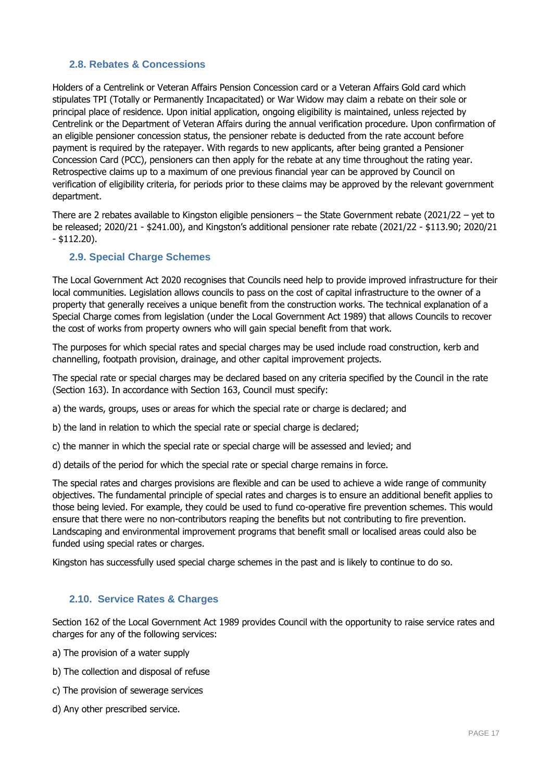# <span id="page-17-0"></span>**2.8. Rebates & Concessions**

Holders of a Centrelink or Veteran Affairs Pension Concession card or a Veteran Affairs Gold card which stipulates TPI (Totally or Permanently Incapacitated) or War Widow may claim a rebate on their sole or principal place of residence. Upon initial application, ongoing eligibility is maintained, unless rejected by Centrelink or the Department of Veteran Affairs during the annual verification procedure. Upon confirmation of an eligible pensioner concession status, the pensioner rebate is deducted from the rate account before payment is required by the ratepayer. With regards to new applicants, after being granted a Pensioner Concession Card (PCC), pensioners can then apply for the rebate at any time throughout the rating year. Retrospective claims up to a maximum of one previous financial year can be approved by Council on verification of eligibility criteria, for periods prior to these claims may be approved by the relevant government department.

There are 2 rebates available to Kingston eligible pensioners – the State Government rebate (2021/22 – yet to be released; 2020/21 - \$241.00), and Kingston's additional pensioner rate rebate (2021/22 - \$113.90; 2020/21 - \$112.20).

# <span id="page-17-1"></span>**2.9. Special Charge Schemes**

The Local Government Act 2020 recognises that Councils need help to provide improved infrastructure for their local communities. Legislation allows councils to pass on the cost of capital infrastructure to the owner of a property that generally receives a unique benefit from the construction works. The technical explanation of a Special Charge comes from legislation (under the Local Government Act 1989) that allows Councils to recover the cost of works from property owners who will gain special benefit from that work.

The purposes for which special rates and special charges may be used include road construction, kerb and channelling, footpath provision, drainage, and other capital improvement projects.

The special rate or special charges may be declared based on any criteria specified by the Council in the rate (Section 163). In accordance with Section 163, Council must specify:

a) the wards, groups, uses or areas for which the special rate or charge is declared; and

b) the land in relation to which the special rate or special charge is declared;

c) the manner in which the special rate or special charge will be assessed and levied; and

d) details of the period for which the special rate or special charge remains in force.

The special rates and charges provisions are flexible and can be used to achieve a wide range of community objectives. The fundamental principle of special rates and charges is to ensure an additional benefit applies to those being levied. For example, they could be used to fund co-operative fire prevention schemes. This would ensure that there were no non-contributors reaping the benefits but not contributing to fire prevention. Landscaping and environmental improvement programs that benefit small or localised areas could also be funded using special rates or charges.

Kingston has successfully used special charge schemes in the past and is likely to continue to do so.

#### <span id="page-17-2"></span>**2.10. Service Rates & Charges**

Section 162 of the Local Government Act 1989 provides Council with the opportunity to raise service rates and charges for any of the following services:

- a) The provision of a water supply
- b) The collection and disposal of refuse
- c) The provision of sewerage services
- d) Any other prescribed service.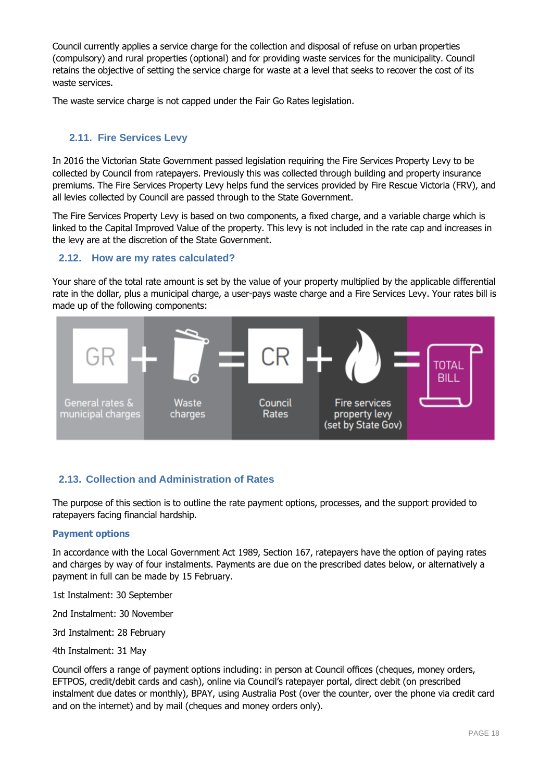Council currently applies a service charge for the collection and disposal of refuse on urban properties (compulsory) and rural properties (optional) and for providing waste services for the municipality. Council retains the objective of setting the service charge for waste at a level that seeks to recover the cost of its waste services.

The waste service charge is not capped under the Fair Go Rates legislation.

# <span id="page-18-0"></span>**2.11. Fire Services Levy**

In 2016 the Victorian State Government passed legislation requiring the Fire Services Property Levy to be collected by Council from ratepayers. Previously this was collected through building and property insurance premiums. The Fire Services Property Levy helps fund the services provided by Fire Rescue Victoria (FRV), and all levies collected by Council are passed through to the State Government.

The Fire Services Property Levy is based on two components, a fixed charge, and a variable charge which is linked to the Capital Improved Value of the property. This levy is not included in the rate cap and increases in the levy are at the discretion of the State Government.

# <span id="page-18-1"></span>**2.12. How are my rates calculated?**

Your share of the total rate amount is set by the value of your property multiplied by the applicable differential rate in the dollar, plus a municipal charge, a user-pays waste charge and a Fire Services Levy. Your rates bill is made up of the following components:



# <span id="page-18-2"></span>**2.13. Collection and Administration of Rates**

The purpose of this section is to outline the rate payment options, processes, and the support provided to ratepayers facing financial hardship.

#### **Payment options**

In accordance with the Local Government Act 1989, Section 167, ratepayers have the option of paying rates and charges by way of four instalments. Payments are due on the prescribed dates below, or alternatively a payment in full can be made by 15 February.

1st Instalment: 30 September

2nd Instalment: 30 November

3rd Instalment: 28 February

4th Instalment: 31 May

Council offers a range of payment options including: in person at Council offices (cheques, money orders, EFTPOS, credit/debit cards and cash), online via Council's ratepayer portal, direct debit (on prescribed instalment due dates or monthly), BPAY, using Australia Post (over the counter, over the phone via credit card and on the internet) and by mail (cheques and money orders only).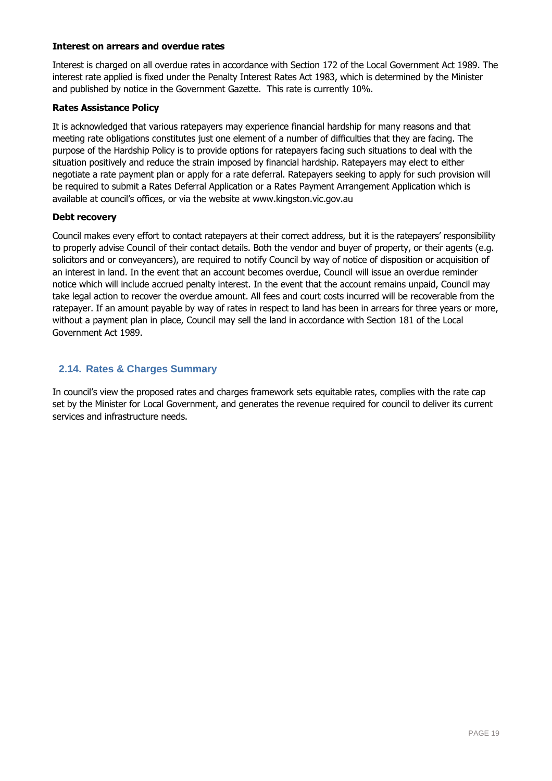#### **Interest on arrears and overdue rates**

Interest is charged on all overdue rates in accordance with Section 172 of the Local Government Act 1989. The interest rate applied is fixed under the Penalty Interest Rates Act 1983, which is determined by the Minister and published by notice in the Government Gazette. This rate is currently 10%.

#### **Rates Assistance Policy**

It is acknowledged that various ratepayers may experience financial hardship for many reasons and that meeting rate obligations constitutes just one element of a number of difficulties that they are facing. The purpose of the Hardship Policy is to provide options for ratepayers facing such situations to deal with the situation positively and reduce the strain imposed by financial hardship. Ratepayers may elect to either negotiate a rate payment plan or apply for a rate deferral. Ratepayers seeking to apply for such provision will be required to submit a Rates Deferral Application or a Rates Payment Arrangement Application which is available at council's offices, or via the website at www.kingston.vic.gov.au

#### **Debt recovery**

Council makes every effort to contact ratepayers at their correct address, but it is the ratepayers' responsibility to properly advise Council of their contact details. Both the vendor and buyer of property, or their agents (e.g. solicitors and or conveyancers), are required to notify Council by way of notice of disposition or acquisition of an interest in land. In the event that an account becomes overdue, Council will issue an overdue reminder notice which will include accrued penalty interest. In the event that the account remains unpaid, Council may take legal action to recover the overdue amount. All fees and court costs incurred will be recoverable from the ratepayer. If an amount payable by way of rates in respect to land has been in arrears for three years or more, without a payment plan in place, Council may sell the land in accordance with Section 181 of the Local Government Act 1989.

# <span id="page-19-0"></span>**2.14. Rates & Charges Summary**

In council's view the proposed rates and charges framework sets equitable rates, complies with the rate cap set by the Minister for Local Government, and generates the revenue required for council to deliver its current services and infrastructure needs.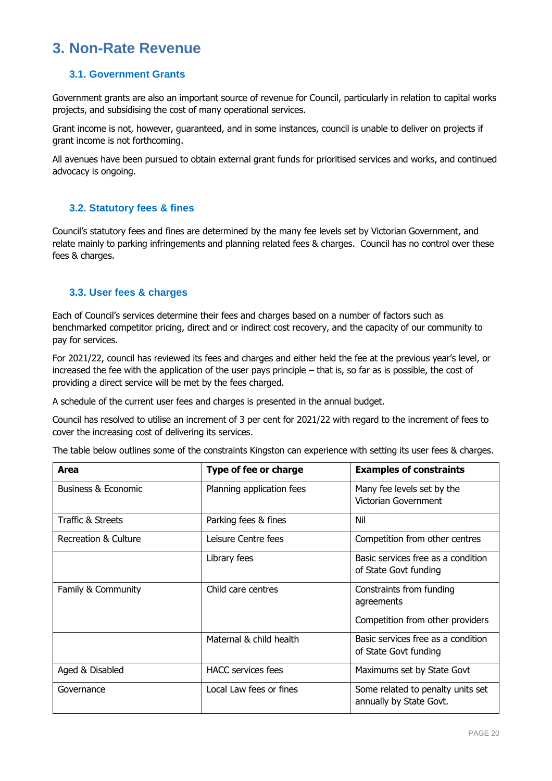# <span id="page-20-0"></span>**3. Non-Rate Revenue**

# <span id="page-20-1"></span>**3.1. Government Grants**

Government grants are also an important source of revenue for Council, particularly in relation to capital works projects, and subsidising the cost of many operational services.

Grant income is not, however, guaranteed, and in some instances, council is unable to deliver on projects if grant income is not forthcoming.

All avenues have been pursued to obtain external grant funds for prioritised services and works, and continued advocacy is ongoing.

# <span id="page-20-2"></span>**3.2. Statutory fees & fines**

Council's statutory fees and fines are determined by the many fee levels set by Victorian Government, and relate mainly to parking infringements and planning related fees & charges. Council has no control over these fees & charges.

# <span id="page-20-3"></span>**3.3. User fees & charges**

Each of Council's services determine their fees and charges based on a number of factors such as benchmarked competitor pricing, direct and or indirect cost recovery, and the capacity of our community to pay for services.

For 2021/22, council has reviewed its fees and charges and either held the fee at the previous year's level, or increased the fee with the application of the user pays principle – that is, so far as is possible, the cost of providing a direct service will be met by the fees charged.

A schedule of the current user fees and charges is presented in the annual budget.

Council has resolved to utilise an increment of 3 per cent for 2021/22 with regard to the increment of fees to cover the increasing cost of delivering its services.

The table below outlines some of the constraints Kingston can experience with setting its user fees & charges.

| Area                           | <b>Type of fee or charge</b> | <b>Examples of constraints</b>                               |
|--------------------------------|------------------------------|--------------------------------------------------------------|
| <b>Business &amp; Economic</b> | Planning application fees    | Many fee levels set by the<br>Victorian Government           |
| Traffic & Streets              | Parking fees & fines         | Nil                                                          |
| Recreation & Culture           | Leisure Centre fees          | Competition from other centres                               |
|                                | Library fees                 | Basic services free as a condition<br>of State Govt funding  |
| Family & Community             | Child care centres           | Constraints from funding<br>agreements                       |
|                                |                              | Competition from other providers                             |
|                                | Maternal & child health      | Basic services free as a condition<br>of State Govt funding  |
| Aged & Disabled                | <b>HACC</b> services fees    | Maximums set by State Govt                                   |
| Governance                     | Local Law fees or fines      | Some related to penalty units set<br>annually by State Govt. |